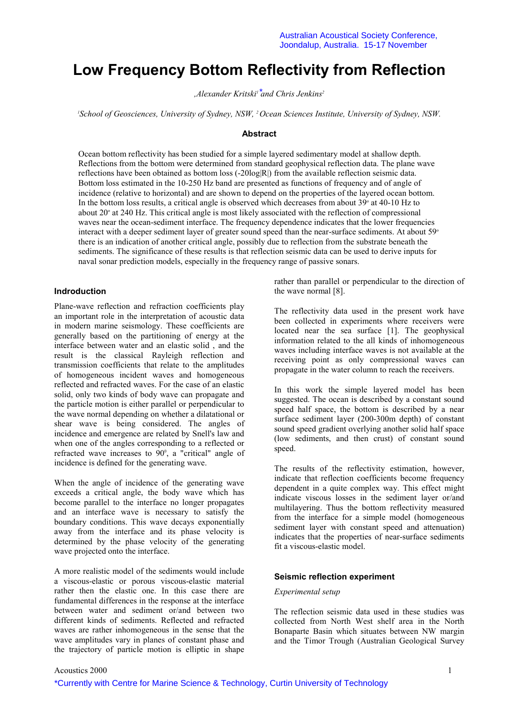# **Low Frequency Bottom Reflectivity from Reflection**

*Alexander Kritski<sup>1\*</sup>and Chris Jenkins<sup>2</sup>*,

*1 School of Geosciences, University of Sydney, NSW, 2 Ocean Sciences Institute, University of Sydney, NSW.*

## **Abstract**

Ocean bottom reflectivity has been studied for a simple layered sedimentary model at shallow depth. Reflections from the bottom were determined from standard geophysical reflection data. The plane wave reflections have been obtained as bottom loss (-20log|R|) from the available reflection seismic data. Bottom loss estimated in the 10-250 Hz band are presented as functions of frequency and of angle of incidence (relative to horizontal) and are shown to depend on the properties of the layered ocean bottom. In the bottom loss results, a critical angle is observed which decreases from about  $39^\circ$  at  $40-10$  Hz to about 20° at 240 Hz. This critical angle is most likely associated with the reflection of compressional waves near the ocean-sediment interface. The frequency dependence indicates that the lower frequencies interact with a deeper sediment layer of greater sound speed than the near-surface sediments. At about 59° there is an indication of another critical angle, possibly due to reflection from the substrate beneath the sediments. The significance of these results is that reflection seismic data can be used to derive inputs for naval sonar prediction models, especially in the frequency range of passive sonars.

#### **Indroduction**

Plane-wave reflection and refraction coefficients play an important role in the interpretation of acoustic data in modern marine seismology. These coefficients are generally based on the partitioning of energy at the interface between water and an elastic solid , and the result is the classical Rayleigh reflection and transmission coefficients that relate to the amplitudes of homogeneous incident waves and homogeneous reflected and refracted waves. For the case of an elastic solid, only two kinds of body wave can propagate and the particle motion is either parallel or perpendicular to the wave normal depending on whether a dilatational or shear wave is being considered. The angles of incidence and emergence are related by Snell's law and when one of the angles corresponding to a reflected or refracted wave increases to  $90^\circ$ , a "critical" angle of incidence is defined for the generating wave.

When the angle of incidence of the generating wave exceeds a critical angle, the body wave which has become parallel to the interface no longer propagates and an interface wave is necessary to satisfy the boundary conditions. This wave decays exponentially away from the interface and its phase velocity is determined by the phase velocity of the generating wave projected onto the interface.

A more realistic model of the sediments would include a viscous-elastic or porous viscous-elastic material rather then the elastic one. In this case there are fundamental differences in the response at the interface between water and sediment or/and between two different kinds of sediments. Reflected and refracted waves are rather inhomogeneous in the sense that the wave amplitudes vary in planes of constant phase and the trajectory of particle motion is elliptic in shape

rather than parallel or perpendicular to the direction of the wave normal [8].

The reflectivity data used in the present work have been collected in experiments where receivers were located near the sea surface [1]. The geophysical information related to the all kinds of inhomogeneous waves including interface waves is not available at the receiving point as only compressional waves can propagate in the water column to reach the receivers.

In this work the simple layered model has been suggested. The ocean is described by a constant sound speed half space, the bottom is described by a near surface sediment layer (200-300m depth) of constant sound speed gradient overlying another solid half space (low sediments, and then crust) of constant sound speed.

The results of the reflectivity estimation, however, indicate that reflection coefficients become frequency dependent in a quite complex way. This effect might indicate viscous losses in the sediment layer or/and multilayering. Thus the bottom reflectivity measured from the interface for a simple model (homogeneous sediment layer with constant speed and attenuation) indicates that the properties of near-surface sediments fit a viscous-elastic model.

#### **Seismic reflection experiment**

#### *Experimental setup*

The reflection seismic data used in these studies was collected from North West shelf area in the North Bonaparte Basin which situates between NW margin and the Timor Trough (Australian Geological Survey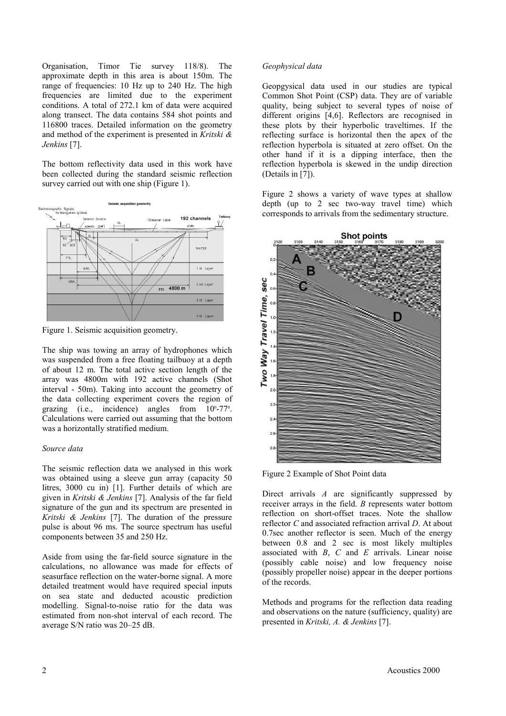Organisation, Timor Tie survey 118/8). The approximate depth in this area is about 150m. The range of frequencies: 10 Hz up to 240 Hz. The high frequencies are limited due to the experiment conditions. A total of 272.1 km of data were acquired along transect. The data contains 584 shot points and 116800 traces. Detailed information on the geometry and method of the experiment is presented in *Kritski & Jenkins* [7].

The bottom reflectivity data used in this work have been collected during the standard seismic reflection survey carried out with one ship (Figure 1).



Figure 1. Seismic acquisition geometry.

The ship was towing an array of hydrophones which was suspended from a free floating tailbuoy at a depth of about 12 m. The total active section length of the array was 4800m with 192 active channels (Shot interval - 50m). Taking into account the geometry of the data collecting experiment covers the region of grazing (i.e., incidence) angles from  $10^{\circ}$ -77°. Calculations were carried out assuming that the bottom was a horizontally stratified medium.

# *Source data*

The seismic reflection data we analysed in this work was obtained using a sleeve gun array (capacity 50 litres, 3000 cu in) [1]. Further details of which are given in *Kritski & Jenkins* [7]. Analysis of the far field signature of the gun and its spectrum are presented in *Kritski & Jenkins* [7]. The duration of the pressure pulse is about 96 ms. The source spectrum has useful components between 35 and 250 Hz.

Aside from using the far-field source signature in the calculations, no allowance was made for effects of seasurface reflection on the water-borne signal. A more detailed treatment would have required special inputs on sea state and deducted acoustic prediction modelling. Signal-to-noise ratio for the data was estimated from non-shot interval of each record. The average S/N ratio was 20–25 dB.

#### *Geophysical data*

Geopgysical data used in our studies are typical Common Shot Point (CSP) data. They are of variable quality, being subject to several types of noise of different origins [4,6]. Reflectors are recognised in these plots by their hyperbolic traveltimes. If the reflecting surface is horizontal then the apex of the reflection hyperbola is situated at zero offset. On the other hand if it is a dipping interface, then the reflection hyperbola is skewed in the undip direction (Details in [7]).

Figure 2 shows a variety of wave types at shallow depth (up to 2 sec two-way travel time) which corresponds to arrivals from the sedimentary structure.



Figure 2 Example of Shot Point data

Direct arrivals *A* are significantly suppressed by receiver arrays in the field. *B* represents water bottom reflection on short-offset traces. Note the shallow reflector *C* and associated refraction arrival *D*. At about 0.7sec another reflector is seen. Much of the energy between 0.8 and 2 sec is most likely multiples associated with *B*, *C* and *E* arrivals. Linear noise (possibly cable noise) and low frequency noise (possibly propeller noise) appear in the deeper portions of the records.

Methods and programs for the reflection data reading and observations on the nature (sufficiency, quality) are presented in *Kritski, A. & Jenkins* [7].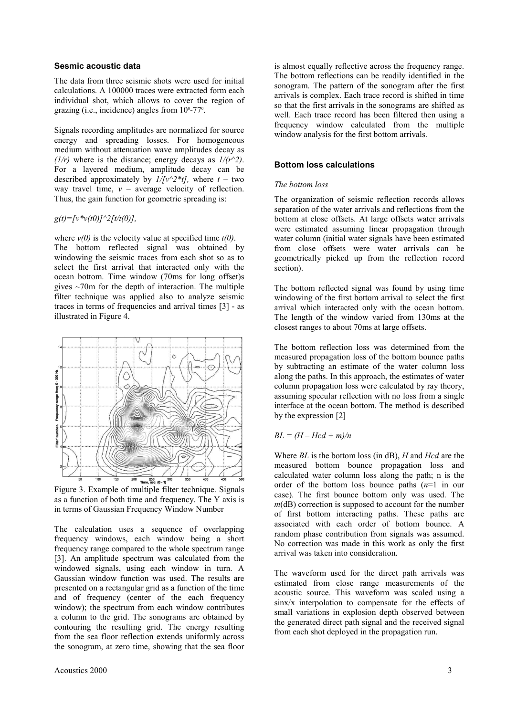#### **Sesmic acoustic data**

The data from three seismic shots were used for initial calculations. A 100000 traces were extracted form each individual shot, which allows to cover the region of grazing (i.e., incidence) angles from  $10^{\circ}$ -77°.

Signals recording amplitudes are normalized for source energy and spreading losses. For homogeneous medium without attenuation wave amplitudes decay as *(1/r)* where is the distance; energy decays as *1/(r^2)*. For a layered medium, amplitude decay can be described approximately by  $I/(v^2*t)$ , where  $t - two$ way travel time,  $v -$  average velocity of reflection. Thus, the gain function for geometric spreading is:

# $g(t) = [v * v(t0)]^2 [t/t(0)]$ ,

where  $v(0)$  is the velocity value at specified time  $t(0)$ . The bottom reflected signal was obtained by windowing the seismic traces from each shot so as to select the first arrival that interacted only with the ocean bottom. Time window (70ms for long offset)s gives  $\sim$ 70m for the depth of interaction. The multiple filter technique was applied also to analyze seismic traces in terms of frequencies and arrival times [3] - as illustrated in Figure 4.



Figure 3. Example of multiple filter technique. Signals as a function of both time and frequency. The Y axis is in terms of Gaussian Frequency Window Number

The calculation uses a sequence of overlapping frequency windows, each window being a short frequency range compared to the whole spectrum range [3]. An amplitude spectrum was calculated from the windowed signals, using each window in turn. A Gaussian window function was used. The results are presented on a rectangular grid as a function of the time and of frequency (center of the each frequency window); the spectrum from each window contributes a column to the grid. The sonograms are obtained by contouring the resulting grid. The energy resulting from the sea floor reflection extends uniformly across the sonogram, at zero time, showing that the sea floor

is almost equally reflective across the frequency range. The bottom reflections can be readily identified in the sonogram. The pattern of the sonogram after the first arrivals is complex. Each trace record is shifted in time so that the first arrivals in the sonograms are shifted as well. Each trace record has been filtered then using a frequency window calculated from the multiple window analysis for the first bottom arrivals.

## **Bottom loss calculations**

#### *The bottom loss*

The organization of seismic reflection records allows separation of the water arrivals and reflections from the bottom at close offsets. At large offsets water arrivals were estimated assuming linear propagation through water column (initial water signals have been estimated from close offsets were water arrivals can be geometrically picked up from the reflection record section).

The bottom reflected signal was found by using time windowing of the first bottom arrival to select the first arrival which interacted only with the ocean bottom. The length of the window varied from 130ms at the closest ranges to about 70ms at large offsets.

The bottom reflection loss was determined from the measured propagation loss of the bottom bounce paths by subtracting an estimate of the water column loss along the paths. In this approach, the estimates of water column propagation loss were calculated by ray theory, assuming specular reflection with no loss from a single interface at the ocean bottom. The method is described by the expression [2]

## $BL = (H - Hcd + m)/n$

Where *BL* is the bottom loss (in dB), *H* and *Hcd* are the measured bottom bounce propagation loss and calculated water column loss along the path; n is the order of the bottom loss bounce paths (*n*=1 in our case). The first bounce bottom only was used. The *m*(dB) correction is supposed to account for the number of first bottom interacting paths. These paths are associated with each order of bottom bounce. A random phase contribution from signals was assumed. No correction was made in this work as only the first arrival was taken into consideration.

The waveform used for the direct path arrivals was estimated from close range measurements of the acoustic source. This waveform was scaled using a sinx/x interpolation to compensate for the effects of small variations in explosion depth observed between the generated direct path signal and the received signal from each shot deployed in the propagation run.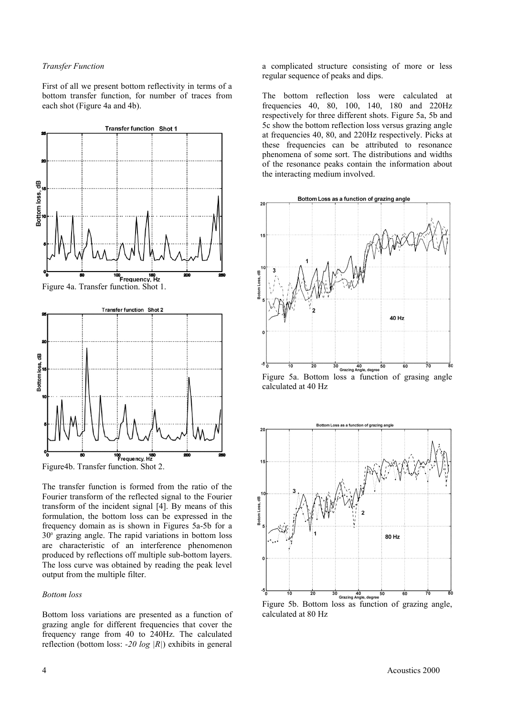#### *Transfer Function*

First of all we present bottom reflectivity in terms of a bottom transfer function, for number of traces from each shot (Figure 4a and 4b).



Figure4b. Transfer function. Shot 2.

The transfer function is formed from the ratio of the Fourier transform of the reflected signal to the Fourier transform of the incident signal [4]. By means of this formulation, the bottom loss can be expressed in the frequency domain as is shown in Figures 5a-5b for a 300 grazing angle. The rapid variations in bottom loss are characteristic of an interference phenomenon produced by reflections off multiple sub-bottom layers. The loss curve was obtained by reading the peak level output from the multiple filter.

## *Bottom loss*

Bottom loss variations are presented as a function of grazing angle for different frequencies that cover the frequency range from 40 to 240Hz. The calculated reflection (bottom loss: *-20 log |R|*) exhibits in general

a complicated structure consisting of more or less regular sequence of peaks and dips.

The bottom reflection loss were calculated at frequencies 40, 80, 100, 140, 180 and 220Hz respectively for three different shots. Figure 5a, 5b and 5c show the bottom reflection loss versus grazing angle at frequencies 40, 80, and 220Hz respectively. Picks at these frequencies can be attributed to resonance phenomena of some sort. The distributions and widths of the resonance peaks contain the information about the interacting medium involved.







Figure 5b. Bottom loss as function of grazing angle, calculated at 80 Hz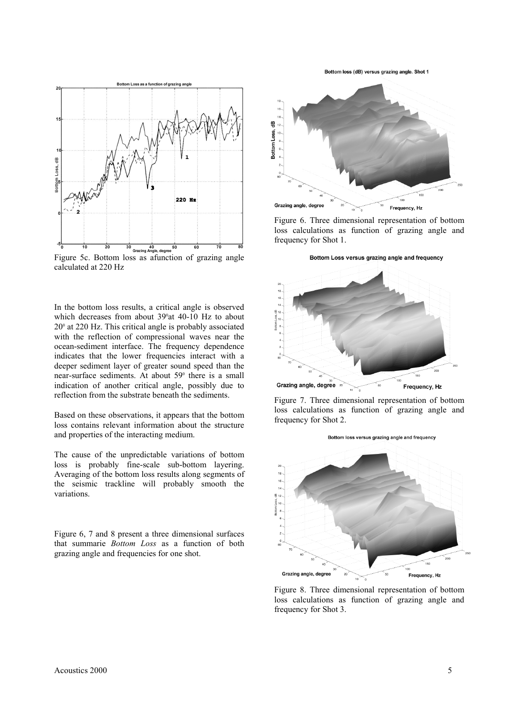Bottom loss (dB) versus grazing angle. Shot 1



calculated at 220 Hz

In the bottom loss results, a critical angle is observed which decreases from about 39°at 40-10 Hz to about 200 at 220 Hz. This critical angle is probably associated with the reflection of compressional waves near the ocean-sediment interface. The frequency dependence indicates that the lower frequencies interact with a deeper sediment layer of greater sound speed than the near-surface sediments. At about 59<sup>°</sup> there is a small indication of another critical angle, possibly due to reflection from the substrate beneath the sediments.

Based on these observations, it appears that the bottom loss contains relevant information about the structure and properties of the interacting medium.

The cause of the unpredictable variations of bottom loss is probably fine-scale sub-bottom layering. Averaging of the bottom loss results along segments of the seismic trackline will probably smooth the variations.

Figure 6, 7 and 8 present a three dimensional surfaces that summarie *Bottom Loss* as a function of both grazing angle and frequencies for one shot.



Figure 6. Three dimensional representation of bottom loss calculations as function of grazing angle and frequency for Shot 1.

Bottom Loss versus grazing angle and frequency



Figure 7. Three dimensional representation of bottom loss calculations as function of grazing angle and frequency for Shot 2.

Bottom loss versus grazing angle and frequency



Figure 8. Three dimensional representation of bottom loss calculations as function of grazing angle and frequency for Shot 3.